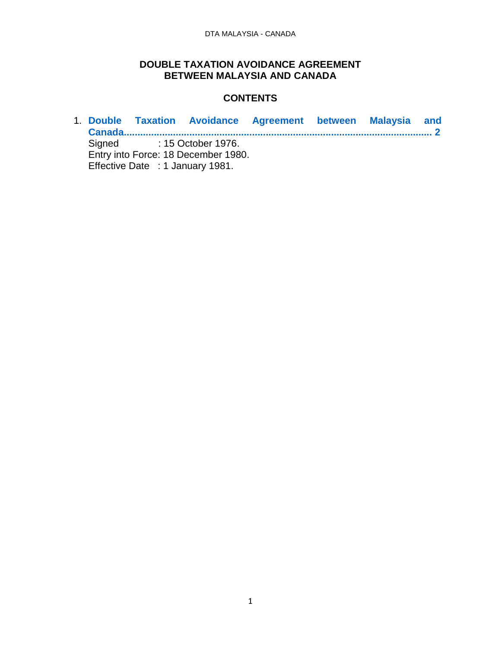### **DOUBLE TAXATION AVOIDANCE AGREEMENT BETWEEN MALAYSIA AND CANADA**

### **CONTENTS**

1. **[Double Taxation Avoidance Agreement between Malaysia and](#page-1-0)  [Canada.................................................................................................................](#page-1-0) 2** Signed : 15 October 1976. Entry into Force: 18 December 1980. Effective Date : 1 January 1981.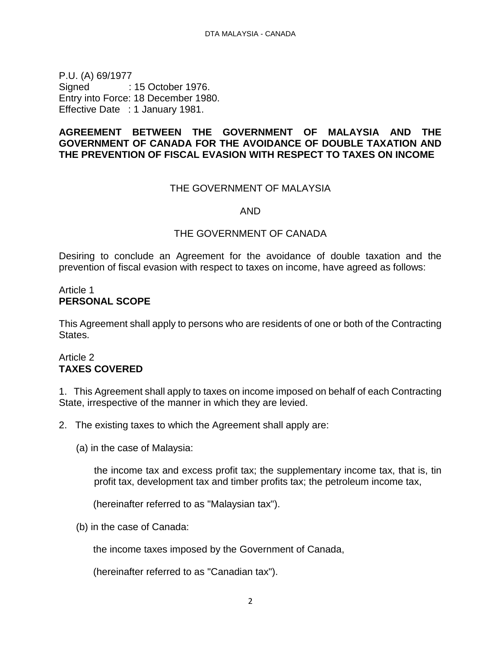<span id="page-1-0"></span>P.U. (A) 69/1977 Signed : 15 October 1976. Entry into Force: 18 December 1980. Effective Date : 1 January 1981.

### **AGREEMENT BETWEEN THE GOVERNMENT OF MALAYSIA AND THE GOVERNMENT OF CANADA FOR THE AVOIDANCE OF DOUBLE TAXATION AND THE PREVENTION OF FISCAL EVASION WITH RESPECT TO TAXES ON INCOME**

#### THE GOVERNMENT OF MALAYSIA

AND

#### THE GOVERNMENT OF CANADA

Desiring to conclude an Agreement for the avoidance of double taxation and the prevention of fiscal evasion with respect to taxes on income, have agreed as follows:

#### Article 1 **PERSONAL SCOPE**

This Agreement shall apply to persons who are residents of one or both of the Contracting States.

### Article 2 **TAXES COVERED**

1. This Agreement shall apply to taxes on income imposed on behalf of each Contracting State, irrespective of the manner in which they are levied.

2. The existing taxes to which the Agreement shall apply are:

(a) in the case of Malaysia:

the income tax and excess profit tax; the supplementary income tax, that is, tin profit tax, development tax and timber profits tax; the petroleum income tax,

(hereinafter referred to as "Malaysian tax").

(b) in the case of Canada:

the income taxes imposed by the Government of Canada,

(hereinafter referred to as "Canadian tax").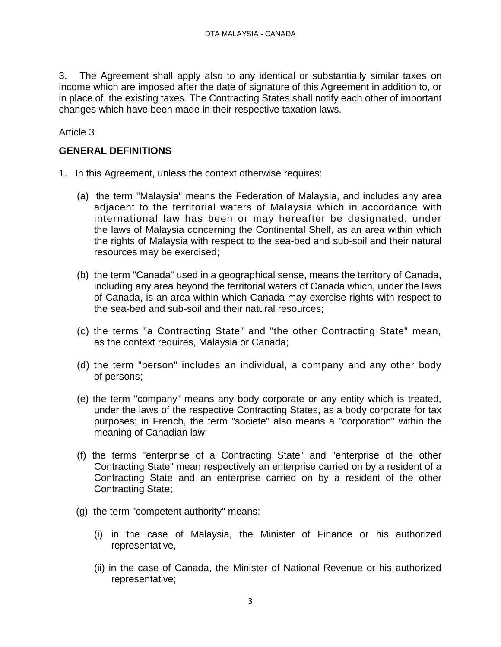3. The Agreement shall apply also to any identical or substantially similar taxes on income which are imposed after the date of signature of this Agreement in addition to, or in place of, the existing taxes. The Contracting States shall notify each other of important changes which have been made in their respective taxation laws.

Article 3

### **GENERAL DEFINITIONS**

- 1. In this Agreement, unless the context otherwise requires:
	- (a) the term "Malaysia" means the Federation of Malaysia, and includes any area adjacent to the territorial waters of Malaysia which in accordance with international law has been or may hereafter be designated, under the laws of Malaysia concerning the Continental Shelf, as an area within which the rights of Malaysia with respect to the sea-bed and sub-soil and their natural resources may be exercised;
	- (b) the term "Canada" used in a geographical sense, means the territory of Canada, including any area beyond the territorial waters of Canada which, under the laws of Canada, is an area within which Canada may exercise rights with respect to the sea-bed and sub-soil and their natural resources;
	- (c) the terms "a Contracting State" and "the other Contracting State" mean, as the context requires, Malaysia or Canada;
	- (d) the term "person" includes an individual, a company and any other body of persons;
	- (e) the term "company" means any body corporate or any entity which is treated, under the laws of the respective Contracting States, as a body corporate for tax purposes; in French, the term "societe" also means a "corporation" within the meaning of Canadian law;
	- (f) the terms "enterprise of a Contracting State" and "enterprise of the other Contracting State" mean respectively an enterprise carried on by a resident of a Contracting State and an enterprise carried on by a resident of the other Contracting State;
	- (g) the term "competent authority" means:
		- (i) in the case of Malaysia, the Minister of Finance or his authorized representative,
		- (ii) in the case of Canada, the Minister of National Revenue or his authorized representative;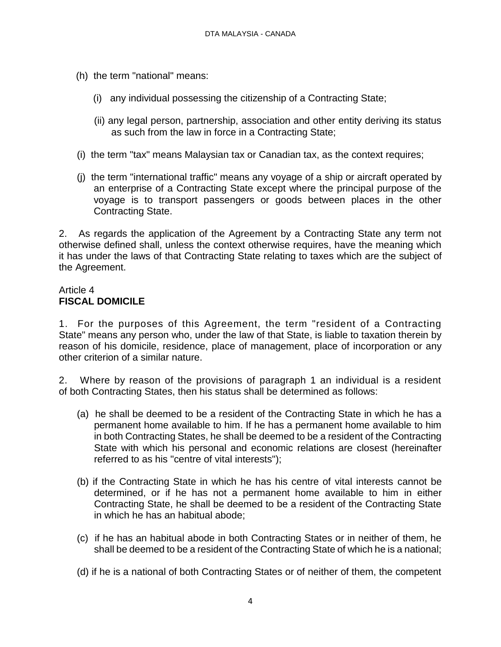- (h) the term "national" means:
	- (i) any individual possessing the citizenship of a Contracting State;
	- (ii) any legal person, partnership, association and other entity deriving its status as such from the law in force in a Contracting State;
- (i) the term "tax" means Malaysian tax or Canadian tax, as the context requires;
- (j) the term "international traffic" means any voyage of a ship or aircraft operated by an enterprise of a Contracting State except where the principal purpose of the voyage is to transport passengers or goods between places in the other Contracting State.

2. As regards the application of the Agreement by a Contracting State any term not otherwise defined shall, unless the context otherwise requires, have the meaning which it has under the laws of that Contracting State relating to taxes which are the subject of the Agreement.

## Article 4 **FISCAL DOMICILE**

1. For the purposes of this Agreement, the term "resident of a Contracting State" means any person who, under the law of that State, is liable to taxation therein by reason of his domicile, residence, place of management, place of incorporation or any other criterion of a similar nature.

2. Where by reason of the provisions of paragraph 1 an individual is a resident of both Contracting States, then his status shall be determined as follows:

- (a) he shall be deemed to be a resident of the Contracting State in which he has a permanent home available to him. If he has a permanent home available to him in both Contracting States, he shall be deemed to be a resident of the Contracting State with which his personal and economic relations are closest (hereinafter referred to as his "centre of vital interests");
- (b) if the Contracting State in which he has his centre of vital interests cannot be determined, or if he has not a permanent home available to him in either Contracting State, he shall be deemed to be a resident of the Contracting State in which he has an habitual abode;
- (c) if he has an habitual abode in both Contracting States or in neither of them, he shall be deemed to be a resident of the Contracting State of which he is a national;
- (d) if he is a national of both Contracting States or of neither of them, the competent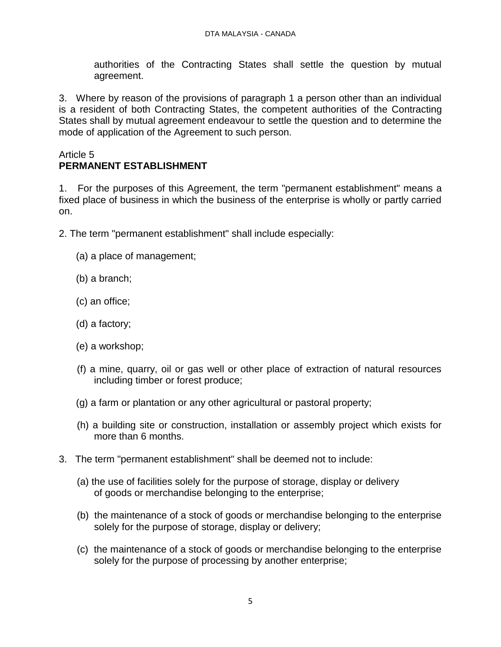authorities of the Contracting States shall settle the question by mutual agreement.

3. Where by reason of the provisions of paragraph 1 a person other than an individual is a resident of both Contracting States, the competent authorities of the Contracting States shall by mutual agreement endeavour to settle the question and to determine the mode of application of the Agreement to such person.

### Article 5 **PERMANENT ESTABLISHMENT**

1. For the purposes of this Agreement, the term "permanent establishment" means a fixed place of business in which the business of the enterprise is wholly or partly carried on.

2. The term "permanent establishment" shall include especially:

- (a) a place of management;
- (b) a branch;
- (c) an office;
- (d) a factory;
- (e) a workshop;
- (f) a mine, quarry, oil or gas well or other place of extraction of natural resources including timber or forest produce;
- (g) a farm or plantation or any other agricultural or pastoral property;
- (h) a building site or construction, installation or assembly project which exists for more than 6 months.
- 3. The term "permanent establishment" shall be deemed not to include:
	- (a) the use of facilities solely for the purpose of storage, display or delivery of goods or merchandise belonging to the enterprise;
	- (b) the maintenance of a stock of goods or merchandise belonging to the enterprise solely for the purpose of storage, display or delivery;
	- (c) the maintenance of a stock of goods or merchandise belonging to the enterprise solely for the purpose of processing by another enterprise;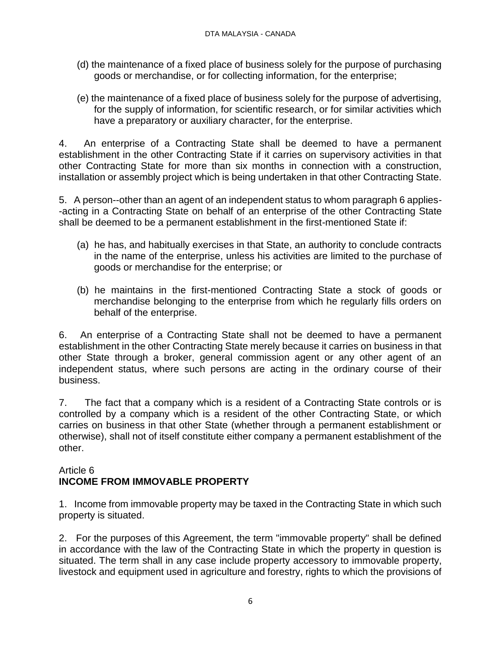- (d) the maintenance of a fixed place of business solely for the purpose of purchasing goods or merchandise, or for collecting information, for the enterprise;
- (e) the maintenance of a fixed place of business solely for the purpose of advertising, for the supply of information, for scientific research, or for similar activities which have a preparatory or auxiliary character, for the enterprise.

4. An enterprise of a Contracting State shall be deemed to have a permanent establishment in the other Contracting State if it carries on supervisory activities in that other Contracting State for more than six months in connection with a construction, installation or assembly project which is being undertaken in that other Contracting State.

5. A person--other than an agent of an independent status to whom paragraph 6 applies- -acting in a Contracting State on behalf of an enterprise of the other Contracting State shall be deemed to be a permanent establishment in the first-mentioned State if:

- (a) he has, and habitually exercises in that State, an authority to conclude contracts in the name of the enterprise, unless his activities are limited to the purchase of goods or merchandise for the enterprise; or
- (b) he maintains in the first-mentioned Contracting State a stock of goods or merchandise belonging to the enterprise from which he regularly fills orders on behalf of the enterprise.

6. An enterprise of a Contracting State shall not be deemed to have a permanent establishment in the other Contracting State merely because it carries on business in that other State through a broker, general commission agent or any other agent of an independent status, where such persons are acting in the ordinary course of their business.

7. The fact that a company which is a resident of a Contracting State controls or is controlled by a company which is a resident of the other Contracting State, or which carries on business in that other State (whether through a permanent establishment or otherwise), shall not of itself constitute either company a permanent establishment of the other.

## Article 6 **INCOME FROM IMMOVABLE PROPERTY**

1. Income from immovable property may be taxed in the Contracting State in which such property is situated.

2. For the purposes of this Agreement, the term "immovable property" shall be defined in accordance with the law of the Contracting State in which the property in question is situated. The term shall in any case include property accessory to immovable property, livestock and equipment used in agriculture and forestry, rights to which the provisions of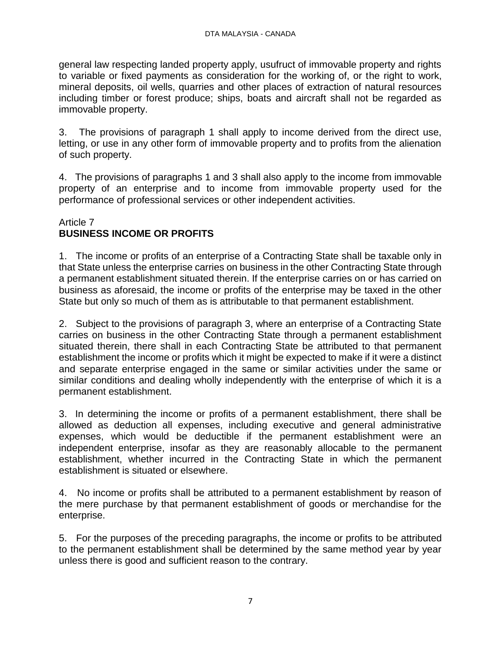general law respecting landed property apply, usufruct of immovable property and rights to variable or fixed payments as consideration for the working of, or the right to work, mineral deposits, oil wells, quarries and other places of extraction of natural resources including timber or forest produce; ships, boats and aircraft shall not be regarded as immovable property.

3. The provisions of paragraph 1 shall apply to income derived from the direct use, letting, or use in any other form of immovable property and to profits from the alienation of such property.

4. The provisions of paragraphs 1 and 3 shall also apply to the income from immovable property of an enterprise and to income from immovable property used for the performance of professional services or other independent activities.

### Article 7 **BUSINESS INCOME OR PROFITS**

1. The income or profits of an enterprise of a Contracting State shall be taxable only in that State unless the enterprise carries on business in the other Contracting State through a permanent establishment situated therein. If the enterprise carries on or has carried on business as aforesaid, the income or profits of the enterprise may be taxed in the other State but only so much of them as is attributable to that permanent establishment.

2. Subject to the provisions of paragraph 3, where an enterprise of a Contracting State carries on business in the other Contracting State through a permanent establishment situated therein, there shall in each Contracting State be attributed to that permanent establishment the income or profits which it might be expected to make if it were a distinct and separate enterprise engaged in the same or similar activities under the same or similar conditions and dealing wholly independently with the enterprise of which it is a permanent establishment.

3. In determining the income or profits of a permanent establishment, there shall be allowed as deduction all expenses, including executive and general administrative expenses, which would be deductible if the permanent establishment were an independent enterprise, insofar as they are reasonably allocable to the permanent establishment, whether incurred in the Contracting State in which the permanent establishment is situated or elsewhere.

4. No income or profits shall be attributed to a permanent establishment by reason of the mere purchase by that permanent establishment of goods or merchandise for the enterprise.

5. For the purposes of the preceding paragraphs, the income or profits to be attributed to the permanent establishment shall be determined by the same method year by year unless there is good and sufficient reason to the contrary.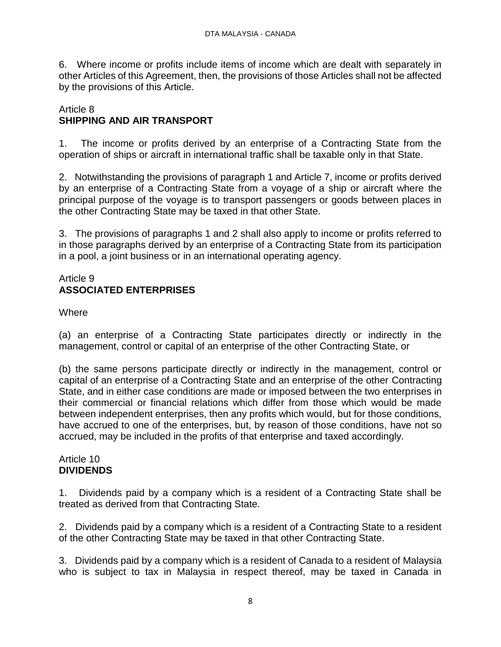6. Where income or profits include items of income which are dealt with separately in other Articles of this Agreement, then, the provisions of those Articles shall not be affected by the provisions of this Article.

## Article 8 **SHIPPING AND AIR TRANSPORT**

1. The income or profits derived by an enterprise of a Contracting State from the operation of ships or aircraft in international traffic shall be taxable only in that State.

2. Notwithstanding the provisions of paragraph 1 and Article 7, income or profits derived by an enterprise of a Contracting State from a voyage of a ship or aircraft where the principal purpose of the voyage is to transport passengers or goods between places in the other Contracting State may be taxed in that other State.

3. The provisions of paragraphs 1 and 2 shall also apply to income or profits referred to in those paragraphs derived by an enterprise of a Contracting State from its participation in a pool, a joint business or in an international operating agency.

## Article 9 **ASSOCIATED ENTERPRISES**

## Where

(a) an enterprise of a Contracting State participates directly or indirectly in the management, control or capital of an enterprise of the other Contracting State, or

(b) the same persons participate directly or indirectly in the management, control or capital of an enterprise of a Contracting State and an enterprise of the other Contracting State, and in either case conditions are made or imposed between the two enterprises in their commercial or financial relations which differ from those which would be made between independent enterprises, then any profits which would, but for those conditions, have accrued to one of the enterprises, but, by reason of those conditions, have not so accrued, may be included in the profits of that enterprise and taxed accordingly.

### Article 10 **DIVIDENDS**

1. Dividends paid by a company which is a resident of a Contracting State shall be treated as derived from that Contracting State.

2. Dividends paid by a company which is a resident of a Contracting State to a resident of the other Contracting State may be taxed in that other Contracting State.

3. Dividends paid by a company which is a resident of Canada to a resident of Malaysia who is subject to tax in Malaysia in respect thereof, may be taxed in Canada in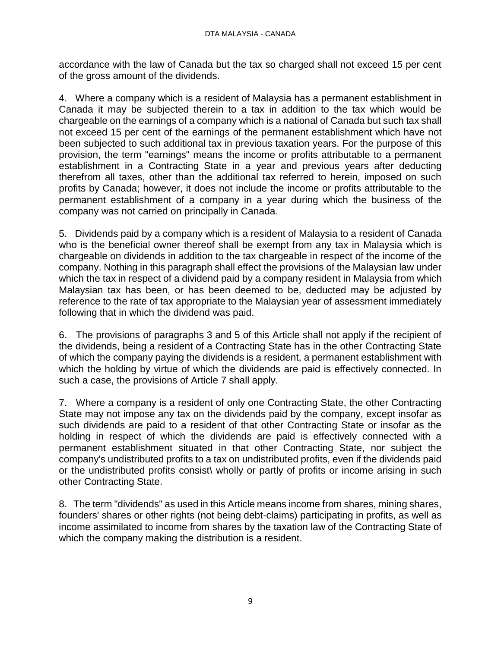accordance with the law of Canada but the tax so charged shall not exceed 15 per cent of the gross amount of the dividends.

4. Where a company which is a resident of Malaysia has a permanent establishment in Canada it may be subjected therein to a tax in addition to the tax which would be chargeable on the earnings of a company which is a national of Canada but such tax shall not exceed 15 per cent of the earnings of the permanent establishment which have not been subjected to such additional tax in previous taxation years. For the purpose of this provision, the term "earnings" means the income or profits attributable to a permanent establishment in a Contracting State in a year and previous years after deducting therefrom all taxes, other than the additional tax referred to herein, imposed on such profits by Canada; however, it does not include the income or profits attributable to the permanent establishment of a company in a year during which the business of the company was not carried on principally in Canada.

5. Dividends paid by a company which is a resident of Malaysia to a resident of Canada who is the beneficial owner thereof shall be exempt from any tax in Malaysia which is chargeable on dividends in addition to the tax chargeable in respect of the income of the company. Nothing in this paragraph shall effect the provisions of the Malaysian law under which the tax in respect of a dividend paid by a company resident in Malaysia from which Malaysian tax has been, or has been deemed to be, deducted may be adjusted by reference to the rate of tax appropriate to the Malaysian year of assessment immediately following that in which the dividend was paid.

6. The provisions of paragraphs 3 and 5 of this Article shall not apply if the recipient of the dividends, being a resident of a Contracting State has in the other Contracting State of which the company paying the dividends is a resident, a permanent establishment with which the holding by virtue of which the dividends are paid is effectively connected. In such a case, the provisions of Article 7 shall apply.

7. Where a company is a resident of only one Contracting State, the other Contracting State may not impose any tax on the dividends paid by the company, except insofar as such dividends are paid to a resident of that other Contracting State or insofar as the holding in respect of which the dividends are paid is effectively connected with a permanent establishment situated in that other Contracting State, nor subject the company's undistributed profits to a tax on undistributed profits, even if the dividends paid or the undistributed profits consist\ wholly or partly of profits or income arising in such other Contracting State.

8. The term "dividends" as used in this Article means income from shares, mining shares, founders' shares or other rights (not being debt-claims) participating in profits, as well as income assimilated to income from shares by the taxation law of the Contracting State of which the company making the distribution is a resident.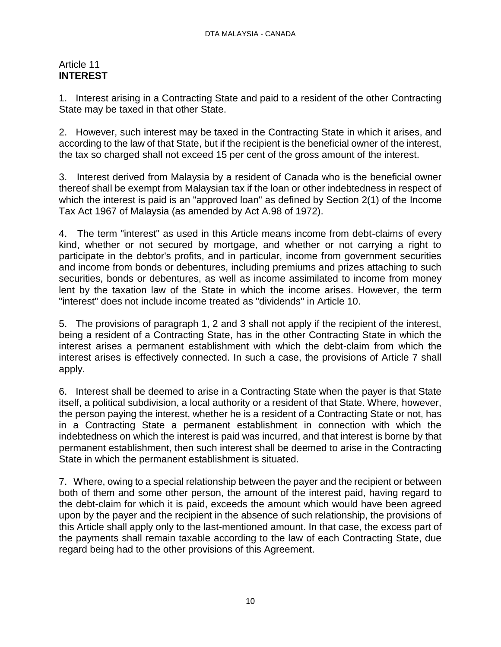### Article 11 **INTEREST**

1. Interest arising in a Contracting State and paid to a resident of the other Contracting State may be taxed in that other State.

2. However, such interest may be taxed in the Contracting State in which it arises, and according to the law of that State, but if the recipient is the beneficial owner of the interest, the tax so charged shall not exceed 15 per cent of the gross amount of the interest.

3. Interest derived from Malaysia by a resident of Canada who is the beneficial owner thereof shall be exempt from Malaysian tax if the loan or other indebtedness in respect of which the interest is paid is an "approved loan" as defined by Section 2(1) of the Income Tax Act 1967 of Malaysia (as amended by Act A.98 of 1972).

4. The term "interest" as used in this Article means income from debt-claims of every kind, whether or not secured by mortgage, and whether or not carrying a right to participate in the debtor's profits, and in particular, income from government securities and income from bonds or debentures, including premiums and prizes attaching to such securities, bonds or debentures, as well as income assimilated to income from money lent by the taxation law of the State in which the income arises. However, the term "interest" does not include income treated as "dividends" in Article 10.

5. The provisions of paragraph 1, 2 and 3 shall not apply if the recipient of the interest, being a resident of a Contracting State, has in the other Contracting State in which the interest arises a permanent establishment with which the debt-claim from which the interest arises is effectively connected. In such a case, the provisions of Article 7 shall apply.

6. Interest shall be deemed to arise in a Contracting State when the payer is that State itself, a political subdivision, a local authority or a resident of that State. Where, however, the person paying the interest, whether he is a resident of a Contracting State or not, has in a Contracting State a permanent establishment in connection with which the indebtedness on which the interest is paid was incurred, and that interest is borne by that permanent establishment, then such interest shall be deemed to arise in the Contracting State in which the permanent establishment is situated.

7. Where, owing to a special relationship between the payer and the recipient or between both of them and some other person, the amount of the interest paid, having regard to the debt-claim for which it is paid, exceeds the amount which would have been agreed upon by the payer and the recipient in the absence of such relationship, the provisions of this Article shall apply only to the last-mentioned amount. In that case, the excess part of the payments shall remain taxable according to the law of each Contracting State, due regard being had to the other provisions of this Agreement.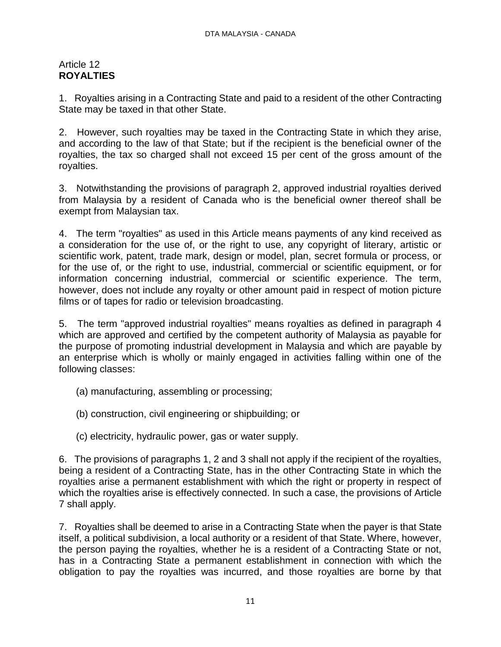### Article 12 **ROYALTIES**

1. Royalties arising in a Contracting State and paid to a resident of the other Contracting State may be taxed in that other State.

2. However, such royalties may be taxed in the Contracting State in which they arise, and according to the law of that State; but if the recipient is the beneficial owner of the royalties, the tax so charged shall not exceed 15 per cent of the gross amount of the royalties.

3. Notwithstanding the provisions of paragraph 2, approved industrial royalties derived from Malaysia by a resident of Canada who is the beneficial owner thereof shall be exempt from Malaysian tax.

4. The term "royalties" as used in this Article means payments of any kind received as a consideration for the use of, or the right to use, any copyright of literary, artistic or scientific work, patent, trade mark, design or model, plan, secret formula or process, or for the use of, or the right to use, industrial, commercial or scientific equipment, or for information concerning industrial, commercial or scientific experience. The term, however, does not include any royalty or other amount paid in respect of motion picture films or of tapes for radio or television broadcasting.

5. The term "approved industrial royalties" means royalties as defined in paragraph 4 which are approved and certified by the competent authority of Malaysia as payable for the purpose of promoting industrial development in Malaysia and which are payable by an enterprise which is wholly or mainly engaged in activities falling within one of the following classes:

- (a) manufacturing, assembling or processing;
- (b) construction, civil engineering or shipbuilding; or
- (c) electricity, hydraulic power, gas or water supply.

6. The provisions of paragraphs 1, 2 and 3 shall not apply if the recipient of the royalties, being a resident of a Contracting State, has in the other Contracting State in which the royalties arise a permanent establishment with which the right or property in respect of which the royalties arise is effectively connected. In such a case, the provisions of Article 7 shall apply.

7. Royalties shall be deemed to arise in a Contracting State when the payer is that State itself, a political subdivision, a local authority or a resident of that State. Where, however, the person paying the royalties, whether he is a resident of a Contracting State or not, has in a Contracting State a permanent establishment in connection with which the obligation to pay the royalties was incurred, and those royalties are borne by that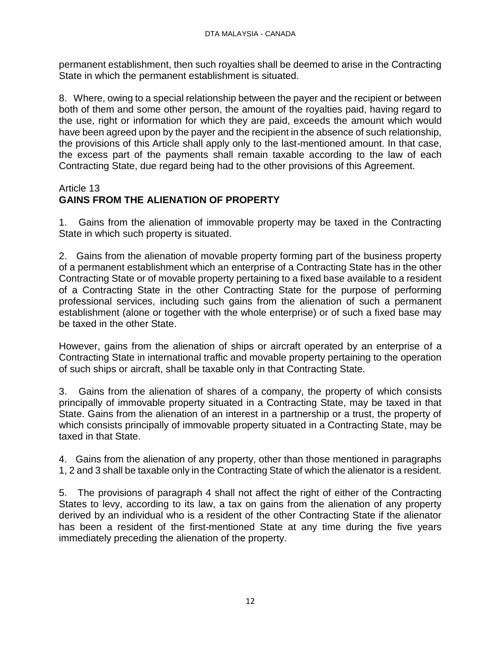permanent establishment, then such royalties shall be deemed to arise in the Contracting State in which the permanent establishment is situated.

8. Where, owing to a special relationship between the payer and the recipient or between both of them and some other person, the amount of the royalties paid, having regard to the use, right or information for which they are paid, exceeds the amount which would have been agreed upon by the payer and the recipient in the absence of such relationship, the provisions of this Article shall apply only to the last-mentioned amount. In that case, the excess part of the payments shall remain taxable according to the law of each Contracting State, due regard being had to the other provisions of this Agreement.

## Article 13

# **GAINS FROM THE ALIENATION OF PROPERTY**

1. Gains from the alienation of immovable property may be taxed in the Contracting State in which such property is situated.

2. Gains from the alienation of movable property forming part of the business property of a permanent establishment which an enterprise of a Contracting State has in the other Contracting State or of movable property pertaining to a fixed base available to a resident of a Contracting State in the other Contracting State for the purpose of performing professional services, including such gains from the alienation of such a permanent establishment (alone or together with the whole enterprise) or of such a fixed base may be taxed in the other State.

However, gains from the alienation of ships or aircraft operated by an enterprise of a Contracting State in international traffic and movable property pertaining to the operation of such ships or aircraft, shall be taxable only in that Contracting State.

3. Gains from the alienation of shares of a company, the property of which consists principally of immovable property situated in a Contracting State, may be taxed in that State. Gains from the alienation of an interest in a partnership or a trust, the property of which consists principally of immovable property situated in a Contracting State, may be taxed in that State.

4. Gains from the alienation of any property, other than those mentioned in paragraphs 1, 2 and 3 shall be taxable only in the Contracting State of which the alienator is a resident.

5. The provisions of paragraph 4 shall not affect the right of either of the Contracting States to levy, according to its law, a tax on gains from the alienation of any property derived by an individual who is a resident of the other Contracting State if the alienator has been a resident of the first-mentioned State at any time during the five years immediately preceding the alienation of the property.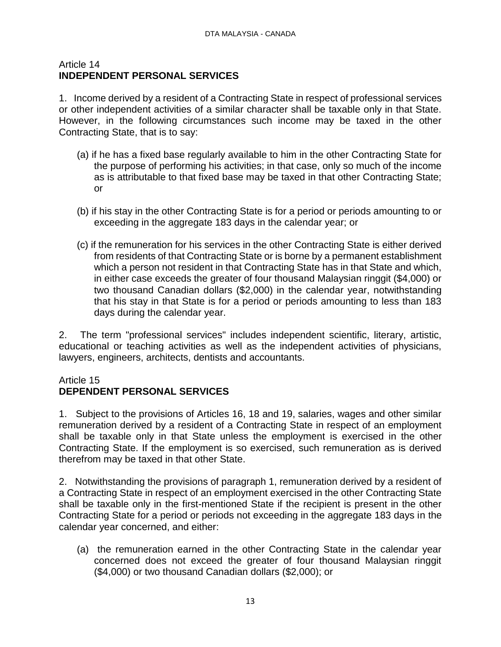### Article 14 **INDEPENDENT PERSONAL SERVICES**

1. Income derived by a resident of a Contracting State in respect of professional services or other independent activities of a similar character shall be taxable only in that State. However, in the following circumstances such income may be taxed in the other Contracting State, that is to say:

- (a) if he has a fixed base regularly available to him in the other Contracting State for the purpose of performing his activities; in that case, only so much of the income as is attributable to that fixed base may be taxed in that other Contracting State; or
- (b) if his stay in the other Contracting State is for a period or periods amounting to or exceeding in the aggregate 183 days in the calendar year; or
- (c) if the remuneration for his services in the other Contracting State is either derived from residents of that Contracting State or is borne by a permanent establishment which a person not resident in that Contracting State has in that State and which, in either case exceeds the greater of four thousand Malaysian ringgit (\$4,000) or two thousand Canadian dollars (\$2,000) in the calendar year, notwithstanding that his stay in that State is for a period or periods amounting to less than 183 days during the calendar year.

2. The term "professional services" includes independent scientific, literary, artistic, educational or teaching activities as well as the independent activities of physicians, lawyers, engineers, architects, dentists and accountants.

### Article 15

## **DEPENDENT PERSONAL SERVICES**

1. Subject to the provisions of Articles 16, 18 and 19, salaries, wages and other similar remuneration derived by a resident of a Contracting State in respect of an employment shall be taxable only in that State unless the employment is exercised in the other Contracting State. If the employment is so exercised, such remuneration as is derived therefrom may be taxed in that other State.

2. Notwithstanding the provisions of paragraph 1, remuneration derived by a resident of a Contracting State in respect of an employment exercised in the other Contracting State shall be taxable only in the first-mentioned State if the recipient is present in the other Contracting State for a period or periods not exceeding in the aggregate 183 days in the calendar year concerned, and either:

(a) the remuneration earned in the other Contracting State in the calendar year concerned does not exceed the greater of four thousand Malaysian ringgit (\$4,000) or two thousand Canadian dollars (\$2,000); or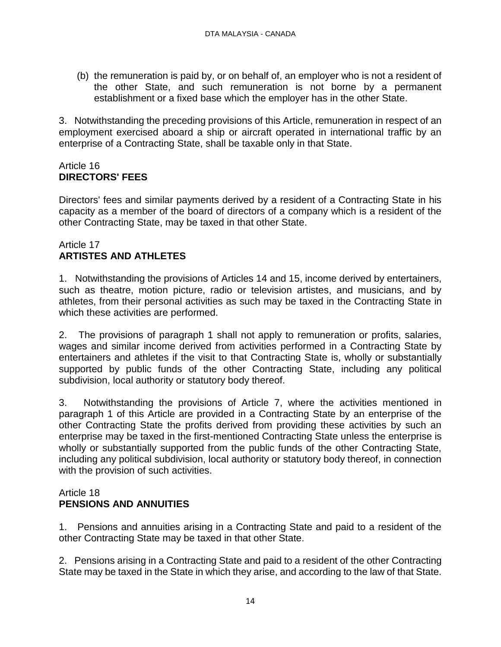(b) the remuneration is paid by, or on behalf of, an employer who is not a resident of the other State, and such remuneration is not borne by a permanent establishment or a fixed base which the employer has in the other State.

3. Notwithstanding the preceding provisions of this Article, remuneration in respect of an employment exercised aboard a ship or aircraft operated in international traffic by an enterprise of a Contracting State, shall be taxable only in that State.

### Article 16 **DIRECTORS' FEES**

Directors' fees and similar payments derived by a resident of a Contracting State in his capacity as a member of the board of directors of a company which is a resident of the other Contracting State, may be taxed in that other State.

## Article 17 **ARTISTES AND ATHLETES**

1. Notwithstanding the provisions of Articles 14 and 15, income derived by entertainers, such as theatre, motion picture, radio or television artistes, and musicians, and by athletes, from their personal activities as such may be taxed in the Contracting State in which these activities are performed.

2. The provisions of paragraph 1 shall not apply to remuneration or profits, salaries, wages and similar income derived from activities performed in a Contracting State by entertainers and athletes if the visit to that Contracting State is, wholly or substantially supported by public funds of the other Contracting State, including any political subdivision, local authority or statutory body thereof.

3. Notwithstanding the provisions of Article 7, where the activities mentioned in paragraph 1 of this Article are provided in a Contracting State by an enterprise of the other Contracting State the profits derived from providing these activities by such an enterprise may be taxed in the first-mentioned Contracting State unless the enterprise is wholly or substantially supported from the public funds of the other Contracting State, including any political subdivision, local authority or statutory body thereof, in connection with the provision of such activities.

### Article 18 **PENSIONS AND ANNUITIES**

1. Pensions and annuities arising in a Contracting State and paid to a resident of the other Contracting State may be taxed in that other State.

2. Pensions arising in a Contracting State and paid to a resident of the other Contracting State may be taxed in the State in which they arise, and according to the law of that State.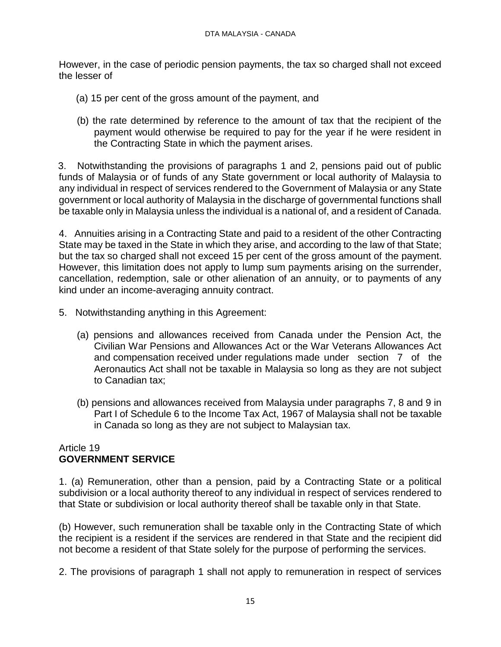However, in the case of periodic pension payments, the tax so charged shall not exceed the lesser of

- (a) 15 per cent of the gross amount of the payment, and
- (b) the rate determined by reference to the amount of tax that the recipient of the payment would otherwise be required to pay for the year if he were resident in the Contracting State in which the payment arises.

 3. Notwithstanding the provisions of paragraphs 1 and 2, pensions paid out of public funds of Malaysia or of funds of any State government or local authority of Malaysia to any individual in respect of services rendered to the Government of Malaysia or any State government or local authority of Malaysia in the discharge of governmental functions shall be taxable only in Malaysia unless the individual is a national of, and a resident of Canada.

4. Annuities arising in a Contracting State and paid to a resident of the other Contracting State may be taxed in the State in which they arise, and according to the law of that State; but the tax so charged shall not exceed 15 per cent of the gross amount of the payment. However, this limitation does not apply to lump sum payments arising on the surrender, cancellation, redemption, sale or other alienation of an annuity, or to payments of any kind under an income-averaging annuity contract.

- 5. Notwithstanding anything in this Agreement:
	- (a) pensions and allowances received from Canada under the Pension Act, the Civilian War Pensions and Allowances Act or the War Veterans Allowances Act and compensation received under regulations made under section 7 of the Aeronautics Act shall not be taxable in Malaysia so long as they are not subject to Canadian tax;
	- (b) pensions and allowances received from Malaysia under paragraphs 7, 8 and 9 in Part I of Schedule 6 to the Income Tax Act, 1967 of Malaysia shall not be taxable in Canada so long as they are not subject to Malaysian tax.

## Article 19 **GOVERNMENT SERVICE**

1. (a) Remuneration, other than a pension, paid by a Contracting State or a political subdivision or a local authority thereof to any individual in respect of services rendered to that State or subdivision or local authority thereof shall be taxable only in that State.

(b) However, such remuneration shall be taxable only in the Contracting State of which the recipient is a resident if the services are rendered in that State and the recipient did not become a resident of that State solely for the purpose of performing the services.

2. The provisions of paragraph 1 shall not apply to remuneration in respect of services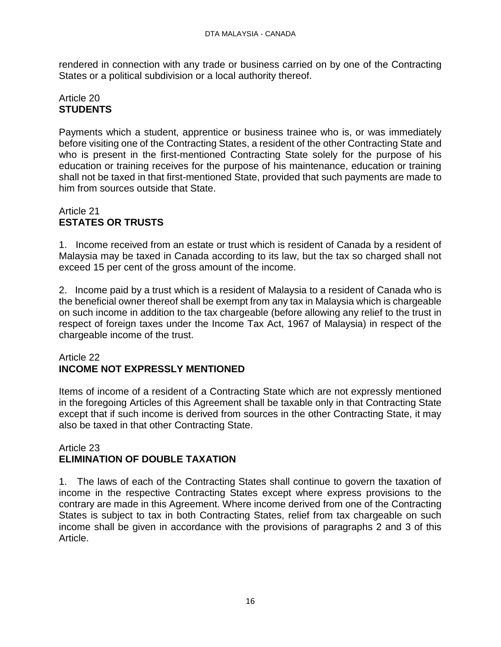rendered in connection with any trade or business carried on by one of the Contracting States or a political subdivision or a local authority thereof.

## Article 20 **STUDENTS**

Payments which a student, apprentice or business trainee who is, or was immediately before visiting one of the Contracting States, a resident of the other Contracting State and who is present in the first-mentioned Contracting State solely for the purpose of his education or training receives for the purpose of his maintenance, education or training shall not be taxed in that first-mentioned State, provided that such payments are made to him from sources outside that State.

## Article 21 **ESTATES OR TRUSTS**

1. Income received from an estate or trust which is resident of Canada by a resident of Malaysia may be taxed in Canada according to its law, but the tax so charged shall not exceed 15 per cent of the gross amount of the income.

2. Income paid by a trust which is a resident of Malaysia to a resident of Canada who is the beneficial owner thereof shall be exempt from any tax in Malaysia which is chargeable on such income in addition to the tax chargeable (before allowing any relief to the trust in respect of foreign taxes under the Income Tax Act, 1967 of Malaysia) in respect of the chargeable income of the trust.

## Article 22 **INCOME NOT EXPRESSLY MENTIONED**

Items of income of a resident of a Contracting State which are not expressly mentioned in the foregoing Articles of this Agreement shall be taxable only in that Contracting State except that if such income is derived from sources in the other Contracting State, it may also be taxed in that other Contracting State.

### Article 23 **ELIMINATION OF DOUBLE TAXATION**

1. The laws of each of the Contracting States shall continue to govern the taxation of income in the respective Contracting States except where express provisions to the contrary are made in this Agreement. Where income derived from one of the Contracting States is subject to tax in both Contracting States, relief from tax chargeable on such income shall be given in accordance with the provisions of paragraphs 2 and 3 of this Article.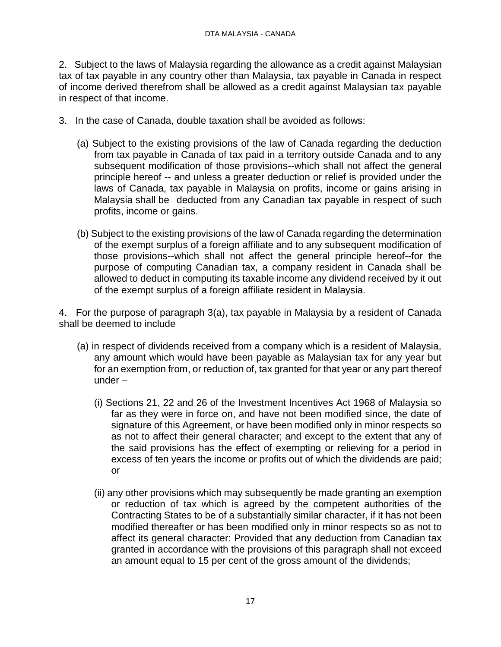2. Subject to the laws of Malaysia regarding the allowance as a credit against Malaysian tax of tax payable in any country other than Malaysia, tax payable in Canada in respect of income derived therefrom shall be allowed as a credit against Malaysian tax payable in respect of that income.

- 3. In the case of Canada, double taxation shall be avoided as follows:
	- (a) Subject to the existing provisions of the law of Canada regarding the deduction from tax payable in Canada of tax paid in a territory outside Canada and to any subsequent modification of those provisions--which shall not affect the general principle hereof -- and unless a greater deduction or relief is provided under the laws of Canada, tax payable in Malaysia on profits, income or gains arising in Malaysia shall be deducted from any Canadian tax payable in respect of such profits, income or gains.
	- (b) Subject to the existing provisions of the law of Canada regarding the determination of the exempt surplus of a foreign affiliate and to any subsequent modification of those provisions--which shall not affect the general principle hereof--for the purpose of computing Canadian tax, a company resident in Canada shall be allowed to deduct in computing its taxable income any dividend received by it out of the exempt surplus of a foreign affiliate resident in Malaysia.

4. For the purpose of paragraph 3(a), tax payable in Malaysia by a resident of Canada shall be deemed to include

- (a) in respect of dividends received from a company which is a resident of Malaysia, any amount which would have been payable as Malaysian tax for any year but for an exemption from, or reduction of, tax granted for that year or any part thereof under –
	- (i) Sections 21, 22 and 26 of the Investment Incentives Act 1968 of Malaysia so far as they were in force on, and have not been modified since, the date of signature of this Agreement, or have been modified only in minor respects so as not to affect their general character; and except to the extent that any of the said provisions has the effect of exempting or relieving for a period in excess of ten years the income or profits out of which the dividends are paid; or
	- (ii) any other provisions which may subsequently be made granting an exemption or reduction of tax which is agreed by the competent authorities of the Contracting States to be of a substantially similar character, if it has not been modified thereafter or has been modified only in minor respects so as not to affect its general character: Provided that any deduction from Canadian tax granted in accordance with the provisions of this paragraph shall not exceed an amount equal to 15 per cent of the gross amount of the dividends;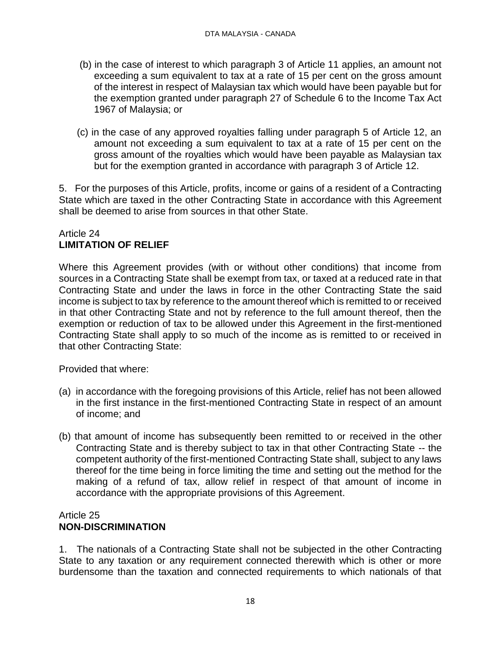- (b) in the case of interest to which paragraph 3 of Article 11 applies, an amount not exceeding a sum equivalent to tax at a rate of 15 per cent on the gross amount of the interest in respect of Malaysian tax which would have been payable but for the exemption granted under paragraph 27 of Schedule 6 to the Income Tax Act 1967 of Malaysia; or
- (c) in the case of any approved royalties falling under paragraph 5 of Article 12, an amount not exceeding a sum equivalent to tax at a rate of 15 per cent on the gross amount of the royalties which would have been payable as Malaysian tax but for the exemption granted in accordance with paragraph 3 of Article 12.

5. For the purposes of this Article, profits, income or gains of a resident of a Contracting State which are taxed in the other Contracting State in accordance with this Agreement shall be deemed to arise from sources in that other State.

## Article 24 **LIMITATION OF RELIEF**

Where this Agreement provides (with or without other conditions) that income from sources in a Contracting State shall be exempt from tax, or taxed at a reduced rate in that Contracting State and under the laws in force in the other Contracting State the said income is subject to tax by reference to the amount thereof which is remitted to or received in that other Contracting State and not by reference to the full amount thereof, then the exemption or reduction of tax to be allowed under this Agreement in the first-mentioned Contracting State shall apply to so much of the income as is remitted to or received in that other Contracting State:

Provided that where:

- (a) in accordance with the foregoing provisions of this Article, relief has not been allowed in the first instance in the first-mentioned Contracting State in respect of an amount of income; and
- (b) that amount of income has subsequently been remitted to or received in the other Contracting State and is thereby subject to tax in that other Contracting State -- the competent authority of the first-mentioned Contracting State shall, subject to any laws thereof for the time being in force limiting the time and setting out the method for the making of a refund of tax, allow relief in respect of that amount of income in accordance with the appropriate provisions of this Agreement.

### Article 25 **NON-DISCRIMINATION**

1. The nationals of a Contracting State shall not be subjected in the other Contracting State to any taxation or any requirement connected therewith which is other or more burdensome than the taxation and connected requirements to which nationals of that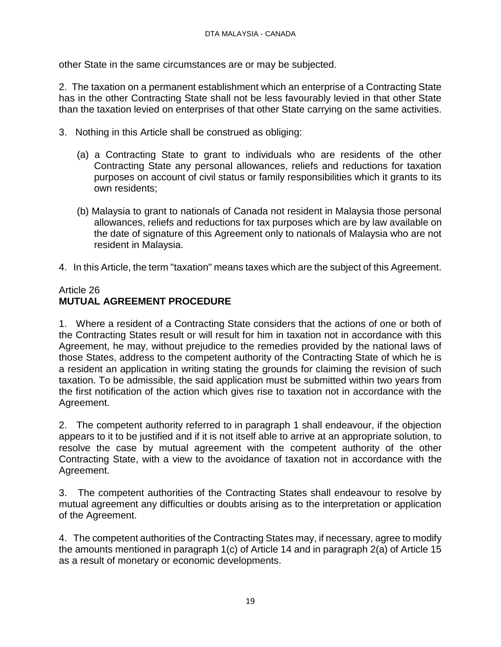other State in the same circumstances are or may be subjected.

2. The taxation on a permanent establishment which an enterprise of a Contracting State has in the other Contracting State shall not be less favourably levied in that other State than the taxation levied on enterprises of that other State carrying on the same activities.

- 3. Nothing in this Article shall be construed as obliging:
	- (a) a Contracting State to grant to individuals who are residents of the other Contracting State any personal allowances, reliefs and reductions for taxation purposes on account of civil status or family responsibilities which it grants to its own residents;
	- (b) Malaysia to grant to nationals of Canada not resident in Malaysia those personal allowances, reliefs and reductions for tax purposes which are by law available on the date of signature of this Agreement only to nationals of Malaysia who are not resident in Malaysia.
- 4. In this Article, the term "taxation" means taxes which are the subject of this Agreement.

### Article 26 **MUTUAL AGREEMENT PROCEDURE**

1. Where a resident of a Contracting State considers that the actions of one or both of the Contracting States result or will result for him in taxation not in accordance with this Agreement, he may, without prejudice to the remedies provided by the national laws of those States, address to the competent authority of the Contracting State of which he is a resident an application in writing stating the grounds for claiming the revision of such taxation. To be admissible, the said application must be submitted within two years from the first notification of the action which gives rise to taxation not in accordance with the Agreement.

2. The competent authority referred to in paragraph 1 shall endeavour, if the objection appears to it to be justified and if it is not itself able to arrive at an appropriate solution, to resolve the case by mutual agreement with the competent authority of the other Contracting State, with a view to the avoidance of taxation not in accordance with the Agreement.

3. The competent authorities of the Contracting States shall endeavour to resolve by mutual agreement any difficulties or doubts arising as to the interpretation or application of the Agreement.

4. The competent authorities of the Contracting States may, if necessary, agree to modify the amounts mentioned in paragraph 1(c) of Article 14 and in paragraph 2(a) of Article 15 as a result of monetary or economic developments.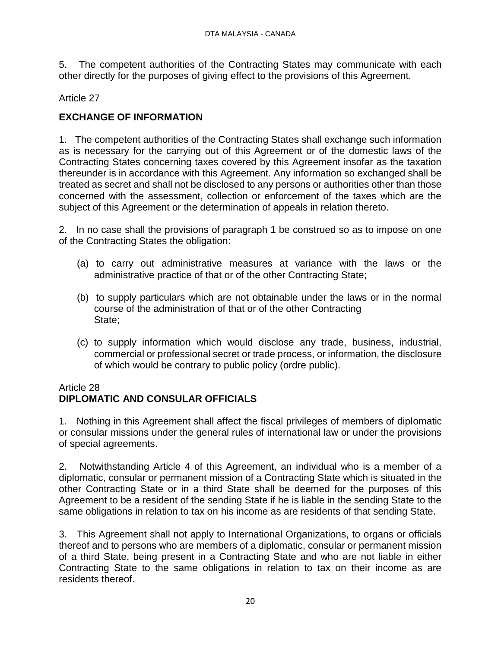5. The competent authorities of the Contracting States may communicate with each other directly for the purposes of giving effect to the provisions of this Agreement.

## Article 27

## **EXCHANGE OF INFORMATION**

1. The competent authorities of the Contracting States shall exchange such information as is necessary for the carrying out of this Agreement or of the domestic laws of the Contracting States concerning taxes covered by this Agreement insofar as the taxation thereunder is in accordance with this Agreement. Any information so exchanged shall be treated as secret and shall not be disclosed to any persons or authorities other than those concerned with the assessment, collection or enforcement of the taxes which are the subject of this Agreement or the determination of appeals in relation thereto.

2. In no case shall the provisions of paragraph 1 be construed so as to impose on one of the Contracting States the obligation:

- (a) to carry out administrative measures at variance with the laws or the administrative practice of that or of the other Contracting State;
- (b) to supply particulars which are not obtainable under the laws or in the normal course of the administration of that or of the other Contracting State;
- (c) to supply information which would disclose any trade, business, industrial, commercial or professional secret or trade process, or information, the disclosure of which would be contrary to public policy (ordre public).

### Article 28

# **DIPLOMATIC AND CONSULAR OFFICIALS**

1. Nothing in this Agreement shall affect the fiscal privileges of members of diplomatic or consular missions under the general rules of international law or under the provisions of special agreements.

2. Notwithstanding Article 4 of this Agreement, an individual who is a member of a diplomatic, consular or permanent mission of a Contracting State which is situated in the other Contracting State or in a third State shall be deemed for the purposes of this Agreement to be a resident of the sending State if he is liable in the sending State to the same obligations in relation to tax on his income as are residents of that sending State.

3. This Agreement shall not apply to International Organizations, to organs or officials thereof and to persons who are members of a diplomatic, consular or permanent mission of a third State, being present in a Contracting State and who are not liable in either Contracting State to the same obligations in relation to tax on their income as are residents thereof.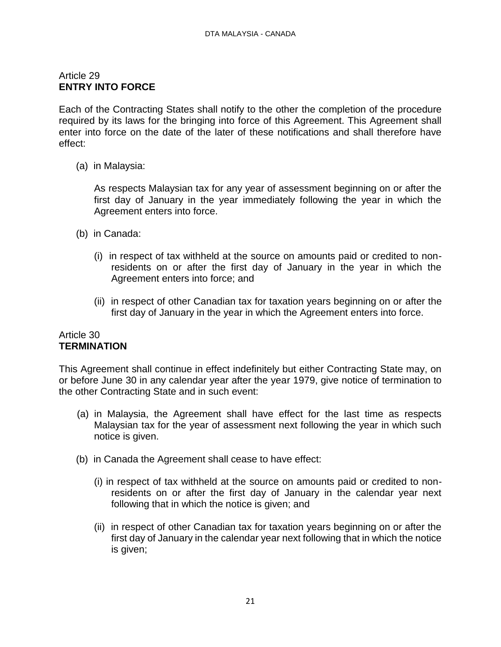## Article 29 **ENTRY INTO FORCE**

Each of the Contracting States shall notify to the other the completion of the procedure required by its laws for the bringing into force of this Agreement. This Agreement shall enter into force on the date of the later of these notifications and shall therefore have effect:

(a) in Malaysia:

As respects Malaysian tax for any year of assessment beginning on or after the first day of January in the year immediately following the year in which the Agreement enters into force.

- (b) in Canada:
	- (i) in respect of tax withheld at the source on amounts paid or credited to nonresidents on or after the first day of January in the year in which the Agreement enters into force; and
	- (ii) in respect of other Canadian tax for taxation years beginning on or after the first day of January in the year in which the Agreement enters into force.

#### Article 30 **TERMINATION**

This Agreement shall continue in effect indefinitely but either Contracting State may, on or before June 30 in any calendar year after the year 1979, give notice of termination to the other Contracting State and in such event:

- (a) in Malaysia, the Agreement shall have effect for the last time as respects Malaysian tax for the year of assessment next following the year in which such notice is given.
- (b) in Canada the Agreement shall cease to have effect:
	- (i) in respect of tax withheld at the source on amounts paid or credited to nonresidents on or after the first day of January in the calendar year next following that in which the notice is given; and
	- (ii) in respect of other Canadian tax for taxation years beginning on or after the first day of January in the calendar year next following that in which the notice is given;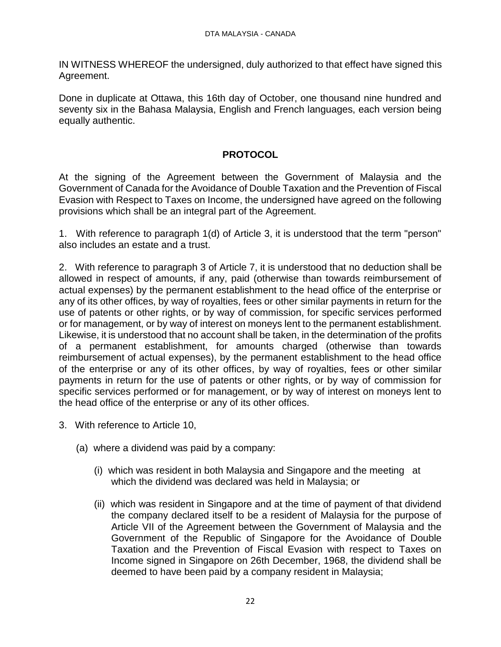IN WITNESS WHEREOF the undersigned, duly authorized to that effect have signed this Agreement.

Done in duplicate at Ottawa, this 16th day of October, one thousand nine hundred and seventy six in the Bahasa Malaysia, English and French languages, each version being equally authentic.

## **PROTOCOL**

At the signing of the Agreement between the Government of Malaysia and the Government of Canada for the Avoidance of Double Taxation and the Prevention of Fiscal Evasion with Respect to Taxes on Income, the undersigned have agreed on the following provisions which shall be an integral part of the Agreement.

1. With reference to paragraph 1(d) of Article 3, it is understood that the term "person" also includes an estate and a trust.

2. With reference to paragraph 3 of Article 7, it is understood that no deduction shall be allowed in respect of amounts, if any, paid (otherwise than towards reimbursement of actual expenses) by the permanent establishment to the head office of the enterprise or any of its other offices, by way of royalties, fees or other similar payments in return for the use of patents or other rights, or by way of commission, for specific services performed or for management, or by way of interest on moneys lent to the permanent establishment. Likewise, it is understood that no account shall be taken, in the determination of the profits of a permanent establishment, for amounts charged (otherwise than towards reimbursement of actual expenses), by the permanent establishment to the head office of the enterprise or any of its other offices, by way of royalties, fees or other similar payments in return for the use of patents or other rights, or by way of commission for specific services performed or for management, or by way of interest on moneys lent to the head office of the enterprise or any of its other offices.

- 3. With reference to Article 10,
	- (a) where a dividend was paid by a company:
		- (i) which was resident in both Malaysia and Singapore and the meeting at which the dividend was declared was held in Malaysia; or
		- (ii) which was resident in Singapore and at the time of payment of that dividend the company declared itself to be a resident of Malaysia for the purpose of Article VII of the Agreement between the Government of Malaysia and the Government of the Republic of Singapore for the Avoidance of Double Taxation and the Prevention of Fiscal Evasion with respect to Taxes on Income signed in Singapore on 26th December, 1968, the dividend shall be deemed to have been paid by a company resident in Malaysia;